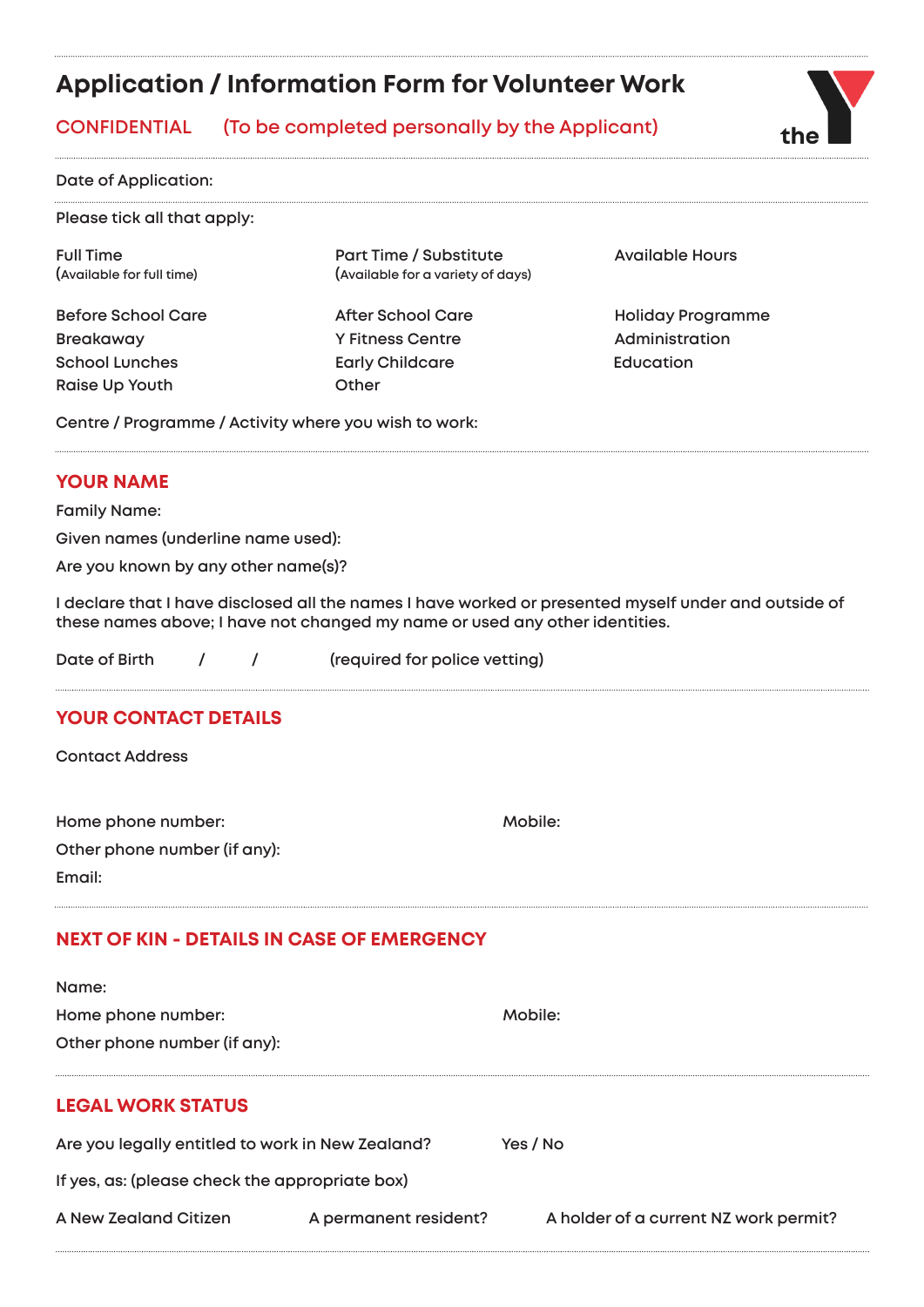# **Application / Information Form for Volunteer Work**

# **CONFIDENTIAL (To be completed personally by the Applicant)**



**Please tick all that apply:**

Breakaway **Mathem Strutter Administration** Y Fitness Centre **Administration School Lunches Early Childcare Education Raise Up Youth Change Other** 

Full Time **Part Time / Substitute** Available Hours **(Available for full time) (Available for a variety of days)**

**Before School Care After School Care Holiday Programme** 

**Centre / Programme / Activity where you wish to work:** 

## **YOUR NAME**

**Family Name:**

**Given names (underline name used):**

**Are you known by any other name(s)?** 

**I declare that I have disclosed all the names I have worked or presented myself under and outside of these names above; I have not changed my name or used any other identities.**

|  | Date of Birth |  |  | (required for police vetting) |
|--|---------------|--|--|-------------------------------|
|--|---------------|--|--|-------------------------------|

# **YOUR CONTACT DETAILS**

**Contact Address**

Home phone number: **Mobile:** Mobile: **Other phone number (if any): Email:**

# **NEXT OF KIN - DETAILS IN CASE OF EMERGENCY**

| Name:                                            |                       |                                       |
|--------------------------------------------------|-----------------------|---------------------------------------|
| Home phone number:                               |                       | Mobile:                               |
| Other phone number (if any):                     |                       |                                       |
|                                                  |                       |                                       |
| <b>LEGAL WORK STATUS</b>                         |                       |                                       |
| Are you legally entitled to work in New Zealand? |                       | Yes / No                              |
| If yes, as: (please check the appropriate box)   |                       |                                       |
| A New Zealand Citizen                            | A permanent resident? | A holder of a current NZ work permit? |

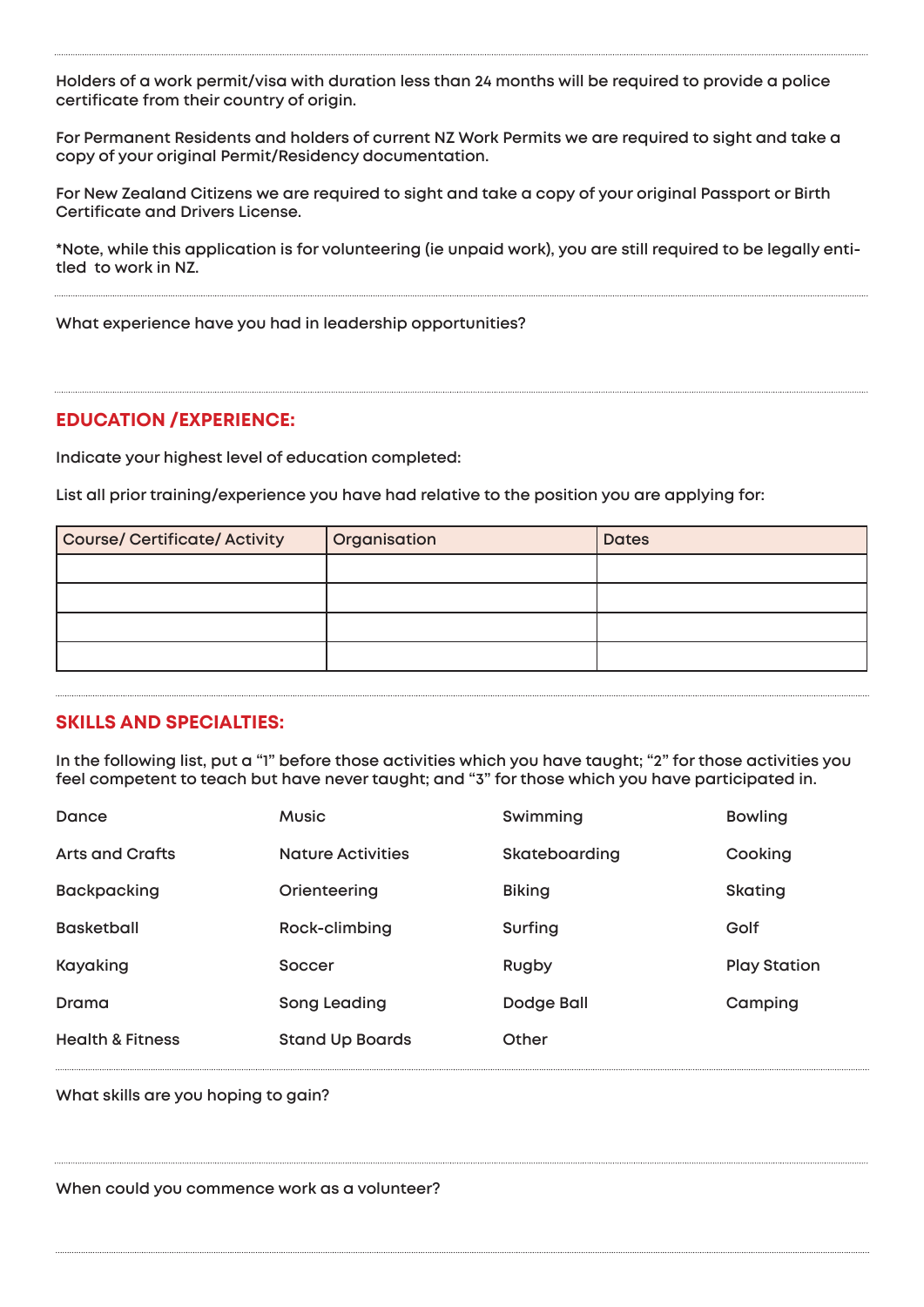**Holders of a work permit/visa with duration less than 24 months will be required to provide a police certificate from their country of origin.**

**For Permanent Residents and holders of current NZ Work Permits we are required to sight and take a copy of your original Permit/Residency documentation.**

**For New Zealand Citizens we are required to sight and take a copy of your original Passport or Birth Certificate and Drivers License.** 

**\*Note, while this application is for volunteering (ie unpaid work), you are still required to be legally entitled to work in NZ.**

**What experience have you had in leadership opportunities?**

#### **EDUCATION /EXPERIENCE:**

**Indicate your highest level of education completed:** 

**List all prior training/experience you have had relative to the position you are applying for:**

| <b>Course/ Certificate/ Activity</b> | Organisation | <b>Dates</b> |
|--------------------------------------|--------------|--------------|
|                                      |              |              |
|                                      |              |              |
|                                      |              |              |
|                                      |              |              |

#### **SKILLS AND SPECIALTIES:**

**In the following list, put a "1" before those activities which you have taught; "2" for those activities you feel competent to teach but have never taught; and "3" for those which you have participated in.**

| Dance                       | <b>Music</b>             | Swimming      | <b>Bowling</b>      |
|-----------------------------|--------------------------|---------------|---------------------|
| Arts and Crafts             | <b>Nature Activities</b> | Skateboarding | Cooking             |
| <b>Backpacking</b>          | Orienteering             | <b>Biking</b> | <b>Skating</b>      |
| <b>Basketball</b>           | Rock-climbing            | Surfing       | Golf                |
| Kayaking                    | Soccer                   | Rugby         | <b>Play Station</b> |
| Drama                       | Song Leading             | Dodge Ball    | Camping             |
| <b>Health &amp; Fitness</b> | <b>Stand Up Boards</b>   | Other         |                     |

**What skills are you hoping to gain?**

**When could you commence work as a volunteer?**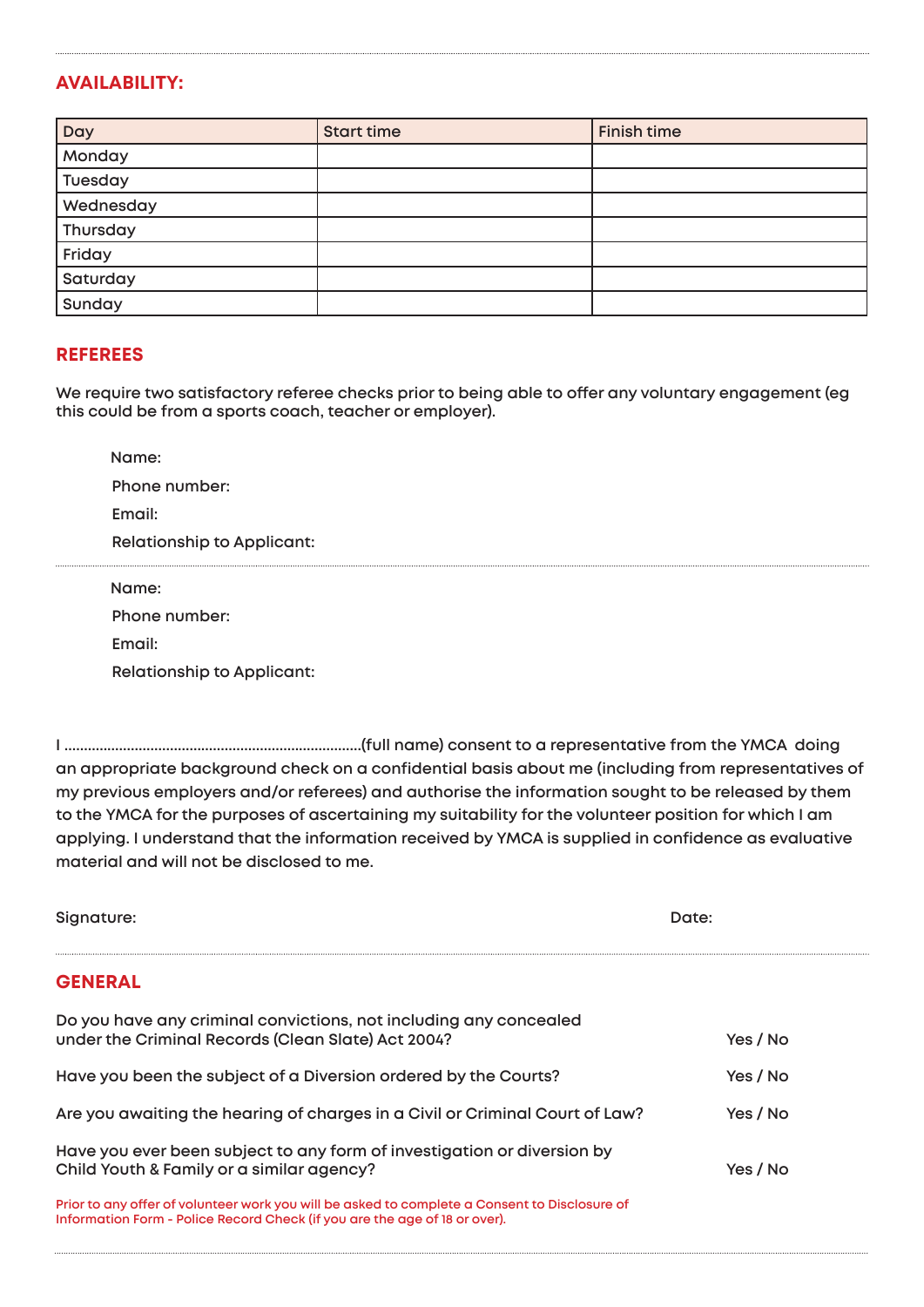## **AVAILABILITY:**

| Day       | <b>Start time</b> | <b>Finish time</b> |
|-----------|-------------------|--------------------|
| Monday    |                   |                    |
| Tuesday   |                   |                    |
| Wednesday |                   |                    |
| Thursday  |                   |                    |
| Friday    |                   |                    |
| Saturday  |                   |                    |
| Sunday    |                   |                    |

#### **REFEREES**

**We require two satisfactory referee checks prior to being able to offer any voluntary engagement (eg this could be from a sports coach, teacher or employer).**

 **Name: Phone number: Email: Relationship to Applicant: Name:** 

**Phone number: Email:**

**Relationship to Applicant:**

**I ............................................................................(full name) consent to a representative from the YMCA doing an appropriate background check on a confidential basis about me (including from representatives of my previous employers and/or referees) and authorise the information sought to be released by them to the YMCA for the purposes of ascertaining my suitability for the volunteer position for which I am applying. I understand that the information received by YMCA is supplied in confidence as evaluative material and will not be disclosed to me.**

| Signature:                                                                                                                                                                  | Date:    |
|-----------------------------------------------------------------------------------------------------------------------------------------------------------------------------|----------|
| <b>GENERAL</b>                                                                                                                                                              |          |
| Do you have any criminal convictions, not including any concealed<br>under the Criminal Records (Clean Slate) Act 2004?                                                     | Yes / No |
| Have you been the subject of a Diversion ordered by the Courts?                                                                                                             | Yes / No |
| Are you awaiting the hearing of charges in a Civil or Criminal Court of Law?                                                                                                | Yes / No |
| Have you ever been subject to any form of investigation or diversion by<br>Child Youth & Family or a similar agency?                                                        | Yes / No |
| Prior to any offer of volunteer work you will be asked to complete a Consent to Disclosure of<br>Information Form - Police Record Check (if you are the age of 18 or over). |          |